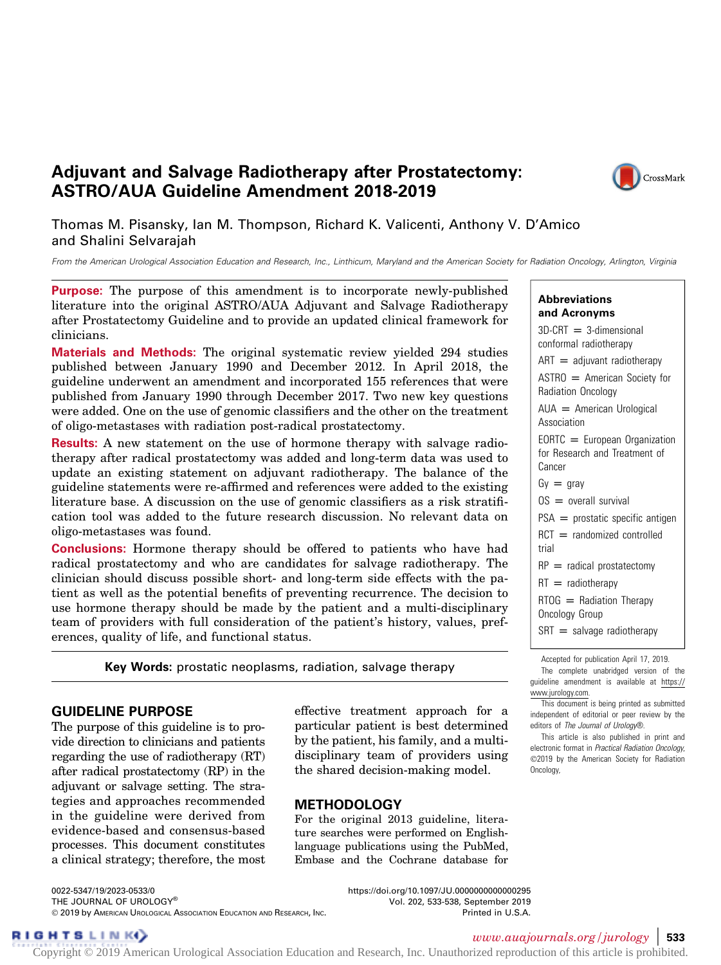# Adjuvant and Salvage Radiotherapy after Prostatectomy: ASTRO/AUA Guideline Amendment 2018-2019



Thomas M. Pisansky, Ian M. Thompson, Richard K. Valicenti, Anthony V. D'Amico and Shalini Selvarajah

From the American Urological Association Education and Research, Inc., Linthicum, Maryland and the American Society for Radiation Oncology, Arlington, Virginia

Purpose: The purpose of this amendment is to incorporate newly-published literature into the original ASTRO/AUA Adjuvant and Salvage Radiotherapy after Prostatectomy Guideline and to provide an updated clinical framework for clinicians.

Materials and Methods: The original systematic review yielded 294 studies published between January 1990 and December 2012. In April 2018, the guideline underwent an amendment and incorporated 155 references that were published from January 1990 through December 2017. Two new key questions were added. One on the use of genomic classifiers and the other on the treatment of oligo-metastases with radiation post-radical prostatectomy.

Results: A new statement on the use of hormone therapy with salvage radiotherapy after radical prostatectomy was added and long-term data was used to update an existing statement on adjuvant radiotherapy. The balance of the guideline statements were re-affirmed and references were added to the existing literature base. A discussion on the use of genomic classifiers as a risk stratification tool was added to the future research discussion. No relevant data on oligo-metastases was found.

Conclusions: Hormone therapy should be offered to patients who have had radical prostatectomy and who are candidates for salvage radiotherapy. The clinician should discuss possible short- and long-term side effects with the patient as well as the potential benefits of preventing recurrence. The decision to use hormone therapy should be made by the patient and a multi-disciplinary team of providers with full consideration of the patient's history, values, preferences, quality of life, and functional status.

Key Words: prostatic neoplasms, radiation, salvage therapy

## GUIDELINE PURPOSE

RIGHTSLINK()

The purpose of this guideline is to provide direction to clinicians and patients regarding the use of radiotherapy (RT) after radical prostatectomy (RP) in the adjuvant or salvage setting. The strategies and approaches recommended in the guideline were derived from evidence-based and consensus-based processes. This document constitutes a clinical strategy; therefore, the most effective treatment approach for a particular patient is best determined by the patient, his family, and a multidisciplinary team of providers using the shared decision-making model.

#### **METHODOLOGY**

For the original 2013 guideline, literature searches were performed on Englishlanguage publications using the PubMed, Embase and the Cochrane database for

0022-5347/19/2023-0533/0 THE JOURNAL OF UROLOGY® 2019 by AMERICAN UROLOGICAL ASSOCIATION EDUCATION AND RESEARCH, INC. <https://doi.org/10.1097/JU.0000000000000295> Vol. 202, 533-538, September 2019 Printed in U.S.A.

## Abbreviations and Acronyms

 $3D-CRT = 3$ -dimensional conformal radiotherapy  $ART =$  adjuvant radiotherapy  $ASTRO = American Society for$ Radiation Oncology  $AUA =$  American Urological **Association**  $EORTC = European Organization$ for Research and Treatment of **Cancer**  $Gv = \text{grav}$  $OS = overall$  survival  $PSA =$  prostatic specific antigen  $RCT = randomized controlled$ trial  $RP =$  radical prostatectomy  $RT =$  radiotherapy  $RTOG =$  Radiation Therapy Oncology Group  $SRT =$  salvage radiotherapy

Accepted for publication April 17, 2019. The complete unabridged version of the guideline amendment is available at [https://](https://www.auajournals.org/doi/suppl/10.1097/JU.0000000000000295) [www.jurology.com.](https://www.auajournals.org/doi/suppl/10.1097/JU.0000000000000295)

This document is being printed as submitted independent of editorial or peer review by the editors of The Journal of Urology®.

This article is also published in print and electronic format in Practical Radiation Oncology, 2019 by the American Society for Radiation Oncology.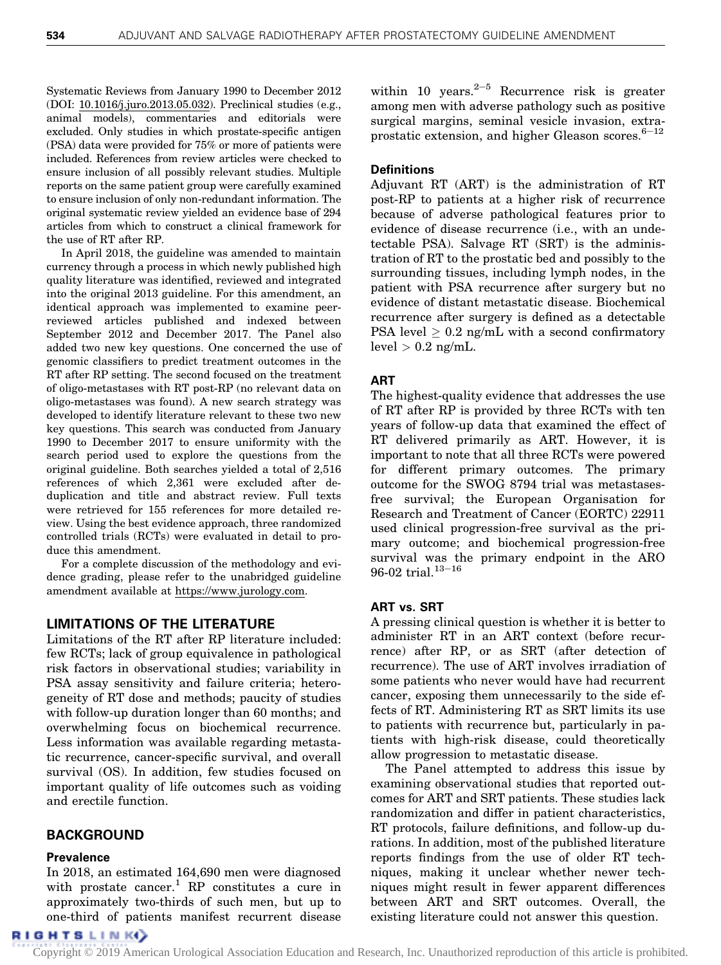Systematic Reviews from January 1990 to December 2012 (DOI: [10.1016/j.juro.2013.05.032](https://doi.org/10.1016/j.juro.2013.05.032)). Preclinical studies (e.g., animal models), commentaries and editorials were excluded. Only studies in which prostate-specific antigen (PSA) data were provided for 75% or more of patients were included. References from review articles were checked to ensure inclusion of all possibly relevant studies. Multiple reports on the same patient group were carefully examined to ensure inclusion of only non-redundant information. The original systematic review yielded an evidence base of 294 articles from which to construct a clinical framework for the use of RT after RP.

In April 2018, the guideline was amended to maintain currency through a process in which newly published high quality literature was identified, reviewed and integrated into the original 2013 guideline. For this amendment, an identical approach was implemented to examine peerreviewed articles published and indexed between September 2012 and December 2017. The Panel also added two new key questions. One concerned the use of genomic classifiers to predict treatment outcomes in the RT after RP setting. The second focused on the treatment of oligo-metastases with RT post-RP (no relevant data on oligo-metastases was found). A new search strategy was developed to identify literature relevant to these two new key questions. This search was conducted from January 1990 to December 2017 to ensure uniformity with the search period used to explore the questions from the original guideline. Both searches yielded a total of 2,516 references of which 2,361 were excluded after deduplication and title and abstract review. Full texts were retrieved for 155 references for more detailed review. Using the best evidence approach, three randomized controlled trials (RCTs) were evaluated in detail to produce this amendment.

For a complete discussion of the methodology and evidence grading, please refer to the unabridged guideline amendment available at [https://www.jurology.com](https://www.auajournals.org/doi/suppl/10.1097/JU.0000000000000295).

## LIMITATIONS OF THE LITERATURE

Limitations of the RT after RP literature included: few RCTs; lack of group equivalence in pathological risk factors in observational studies; variability in PSA assay sensitivity and failure criteria; heterogeneity of RT dose and methods; paucity of studies with follow-up duration longer than 60 months; and overwhelming focus on biochemical recurrence. Less information was available regarding metastatic recurrence, cancer-specific survival, and overall survival (OS). In addition, few studies focused on important quality of life outcomes such as voiding and erectile function.

## **BACKGROUND**

#### Prevalence

In 2018, an estimated 164,690 men were diagnosed with prostate cancer.<sup>[1](#page-5-0)</sup> RP constitutes a cure in approximately two-thirds of such men, but up to one-third of patients manifest recurrent disease

within 10 years. $2^{-5}$  Recurrence risk is greater among men with adverse pathology such as positive surgical margins, seminal vesicle invasion, extraprostatic extension, and higher Gleason scores. $6-12$ 

#### **Definitions**

Adjuvant RT (ART) is the administration of RT post-RP to patients at a higher risk of recurrence because of adverse pathological features prior to evidence of disease recurrence (i.e., with an undetectable PSA). Salvage RT (SRT) is the administration of RT to the prostatic bed and possibly to the surrounding tissues, including lymph nodes, in the patient with PSA recurrence after surgery but no evidence of distant metastatic disease. Biochemical recurrence after surgery is defined as a detectable  $PSA$  level  $\geq 0.2$  ng/mL with a second confirmatory  $level > 0.2$  ng/mL.

#### ART

The highest-quality evidence that addresses the use of RT after RP is provided by three RCTs with ten years of follow-up data that examined the effect of RT delivered primarily as ART. However, it is important to note that all three RCTs were powered for different primary outcomes. The primary outcome for the SWOG 8794 trial was metastasesfree survival; the European Organisation for Research and Treatment of Cancer (EORTC) 22911 used clinical progression-free survival as the primary outcome; and biochemical progression-free survival was the primary endpoint in the ARO  $96\mbox{-}02$  trial.<br> $^{13-16}$ 

#### ART vs. SRT

A pressing clinical question is whether it is better to administer RT in an ART context (before recurrence) after RP, or as SRT (after detection of recurrence). The use of ART involves irradiation of some patients who never would have had recurrent cancer, exposing them unnecessarily to the side effects of RT. Administering RT as SRT limits its use to patients with recurrence but, particularly in patients with high-risk disease, could theoretically allow progression to metastatic disease.

The Panel attempted to address this issue by examining observational studies that reported outcomes for ART and SRT patients. These studies lack randomization and differ in patient characteristics, RT protocols, failure definitions, and follow-up durations. In addition, most of the published literature reports findings from the use of older RT techniques, making it unclear whether newer techniques might result in fewer apparent differences between ART and SRT outcomes. Overall, the existing literature could not answer this question.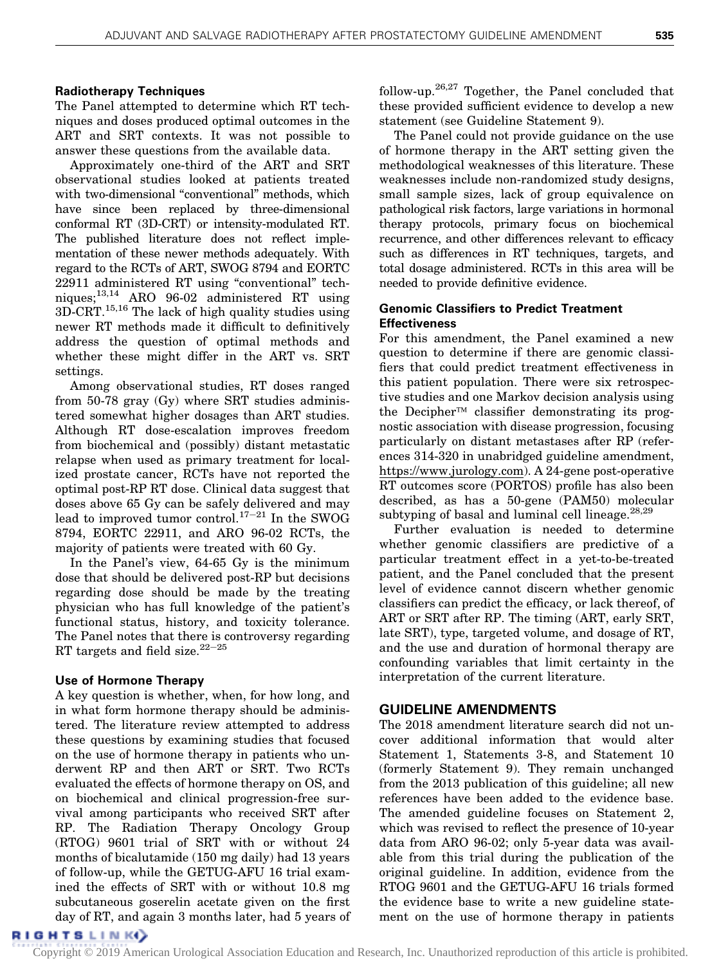#### Radiotherapy Techniques

The Panel attempted to determine which RT techniques and doses produced optimal outcomes in the ART and SRT contexts. It was not possible to answer these questions from the available data.

Approximately one-third of the ART and SRT observational studies looked at patients treated with two-dimensional "conventional" methods, which have since been replaced by three-dimensional conformal RT (3D-CRT) or intensity-modulated RT. The published literature does not reflect implementation of these newer methods adequately. With regard to the RCTs of ART, SWOG 8794 and EORTC 22911 administered RT using "conventional" techniques;  $13,14$  ARO 96-02 administered RT using  $3D-CRT.<sup>15,16</sup>$  The lack of high quality studies using newer RT methods made it difficult to definitively address the question of optimal methods and whether these might differ in the ART vs. SRT settings.

Among observational studies, RT doses ranged from 50-78 gray (Gy) where SRT studies administered somewhat higher dosages than ART studies. Although RT dose-escalation improves freedom from biochemical and (possibly) distant metastatic relapse when used as primary treatment for localized prostate cancer, RCTs have not reported the optimal post-RP RT dose. Clinical data suggest that doses above 65 Gy can be safely delivered and may lead to improved tumor control.<sup>17-21</sup> In the SWOG 8794, EORTC 22911, and ARO 96-02 RCTs, the majority of patients were treated with 60 Gy.

In the Panel's view, 64-65 Gy is the minimum dose that should be delivered post-RP but decisions regarding dose should be made by the treating physician who has full knowledge of the patient's functional status, history, and toxicity tolerance. The Panel notes that there is controversy regarding RT targets and field size. $22-25$ 

#### Use of Hormone Therapy

A key question is whether, when, for how long, and in what form hormone therapy should be administered. The literature review attempted to address these questions by examining studies that focused on the use of hormone therapy in patients who underwent RP and then ART or SRT. Two RCTs evaluated the effects of hormone therapy on OS, and on biochemical and clinical progression-free survival among participants who received SRT after RP. The Radiation Therapy Oncology Group (RTOG) 9601 trial of SRT with or without 24 months of bicalutamide (150 mg daily) had 13 years of follow-up, while the GETUG-AFU 16 trial examined the effects of SRT with or without 10.8 mg subcutaneous goserelin acetate given on the first day of RT, and again 3 months later, had 5 years of follow-up.<sup>26,27</sup> Together, the Panel concluded that these provided sufficient evidence to develop a new statement (see Guideline Statement 9).

The Panel could not provide guidance on the use of hormone therapy in the ART setting given the methodological weaknesses of this literature. These weaknesses include non-randomized study designs, small sample sizes, lack of group equivalence on pathological risk factors, large variations in hormonal therapy protocols, primary focus on biochemical recurrence, and other differences relevant to efficacy such as differences in RT techniques, targets, and total dosage administered. RCTs in this area will be needed to provide definitive evidence.

### Genomic Classifiers to Predict Treatment **Effectiveness**

For this amendment, the Panel examined a new question to determine if there are genomic classifiers that could predict treatment effectiveness in this patient population. There were six retrospective studies and one Markov decision analysis using the Decipher<sup>TM</sup> classifier demonstrating its prognostic association with disease progression, focusing particularly on distant metastases after RP (references 314-320 in unabridged guideline amendment, [https://www.jurology.com](https://www.auajournals.org/doi/suppl/10.1097/JU.0000000000000295)). A 24-gene post-operative RT outcomes score (PORTOS) profile has also been described, as has a 50-gene (PAM50) molecular subtyping of basal and luminal cell lineage.<sup>28,29</sup>

Further evaluation is needed to determine whether genomic classifiers are predictive of a particular treatment effect in a yet-to-be-treated patient, and the Panel concluded that the present level of evidence cannot discern whether genomic classifiers can predict the efficacy, or lack thereof, of ART or SRT after RP. The timing (ART, early SRT, late SRT), type, targeted volume, and dosage of RT, and the use and duration of hormonal therapy are confounding variables that limit certainty in the interpretation of the current literature.

## GUIDELINE AMENDMENTS

The 2018 amendment literature search did not uncover additional information that would alter Statement 1, Statements 3-8, and Statement 10 (formerly Statement 9). They remain unchanged from the 2013 publication of this guideline; all new references have been added to the evidence base. The amended guideline focuses on Statement 2, which was revised to reflect the presence of 10-year data from ARO 96-02; only 5-year data was available from this trial during the publication of the original guideline. In addition, evidence from the RTOG 9601 and the GETUG-AFU 16 trials formed the evidence base to write a new guideline statement on the use of hormone therapy in patients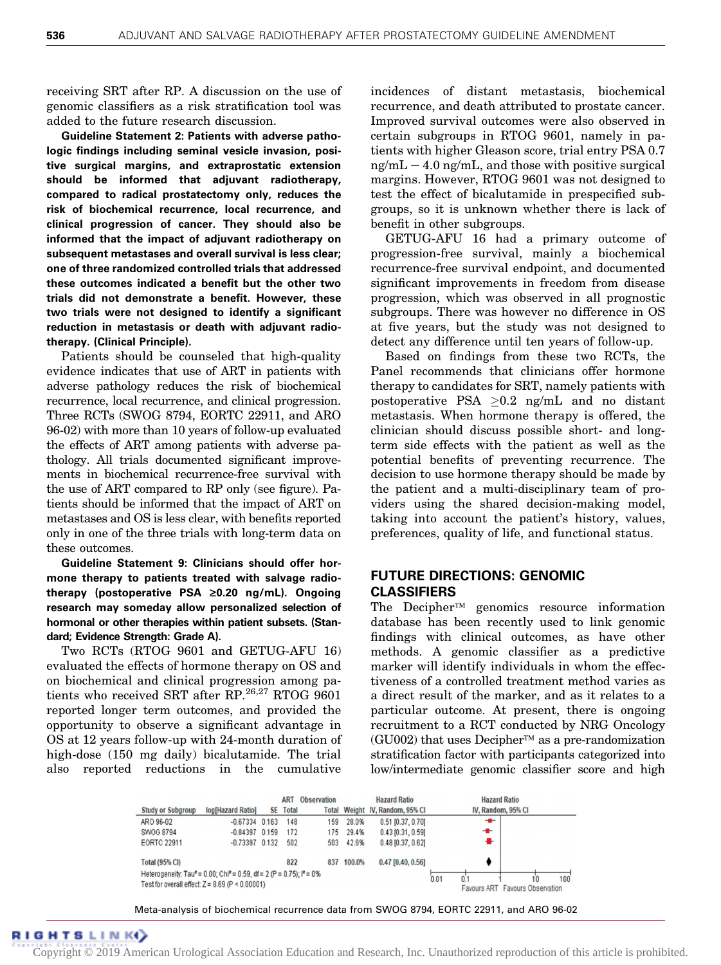receiving SRT after RP. A discussion on the use of genomic classifiers as a risk stratification tool was added to the future research discussion.

Guideline Statement 2: Patients with adverse pathologic findings including seminal vesicle invasion, positive surgical margins, and extraprostatic extension should be informed that adjuvant radiotherapy, compared to radical prostatectomy only, reduces the risk of biochemical recurrence, local recurrence, and clinical progression of cancer. They should also be informed that the impact of adjuvant radiotherapy on subsequent metastases and overall survival is less clear; one of three randomized controlled trials that addressed these outcomes indicated a benefit but the other two trials did not demonstrate a benefit. However, these two trials were not designed to identify a significant reduction in metastasis or death with adjuvant radiotherapy. (Clinical Principle).

Patients should be counseled that high-quality evidence indicates that use of ART in patients with adverse pathology reduces the risk of biochemical recurrence, local recurrence, and clinical progression. Three RCTs (SWOG 8794, EORTC 22911, and ARO 96-02) with more than 10 years of follow-up evaluated the effects of ART among patients with adverse pathology. All trials documented significant improvements in biochemical recurrence-free survival with the use of ART compared to RP only (see figure). Patients should be informed that the impact of ART on metastases and OS is less clear, with benefits reported only in one of the three trials with long-term data on these outcomes.

Guideline Statement 9: Clinicians should offer hormone therapy to patients treated with salvage radiotherapy (postoperative PSA  $\geq 0.20$  ng/mL). Ongoing research may someday allow personalized selection of hormonal or other therapies within patient subsets. (Standard; Evidence Strength: Grade A).

Two RCTs (RTOG 9601 and GETUG-AFU 16) evaluated the effects of hormone therapy on OS and on biochemical and clinical progression among patients who received SRT after  $RP^{26,27}$  RTOG 9601 reported longer term outcomes, and provided the opportunity to observe a significant advantage in OS at 12 years follow-up with 24-month duration of high-dose (150 mg daily) bicalutamide. The trial also reported reductions in the cumulative

incidences of distant metastasis, biochemical recurrence, and death attributed to prostate cancer. Improved survival outcomes were also observed in certain subgroups in RTOG 9601, namely in patients with higher Gleason score, trial entry PSA 0.7  $ng/mL - 4.0$  ng/mL, and those with positive surgical margins. However, RTOG 9601 was not designed to test the effect of bicalutamide in prespecified subgroups, so it is unknown whether there is lack of benefit in other subgroups.

GETUG-AFU 16 had a primary outcome of progression-free survival, mainly a biochemical recurrence-free survival endpoint, and documented significant improvements in freedom from disease progression, which was observed in all prognostic subgroups. There was however no difference in OS at five years, but the study was not designed to detect any difference until ten years of follow-up.

Based on findings from these two RCTs, the Panel recommends that clinicians offer hormone therapy to candidates for SRT, namely patients with postoperative PSA  $\geq 0.2$  ng/mL and no distant metastasis. When hormone therapy is offered, the clinician should discuss possible short- and longterm side effects with the patient as well as the potential benefits of preventing recurrence. The decision to use hormone therapy should be made by the patient and a multi-disciplinary team of providers using the shared decision-making model, taking into account the patient's history, values, preferences, quality of life, and functional status.

## FUTURE DIRECTIONS: GENOMIC CLASSIFIERS

The Decipher<sup> $TM$ </sup> genomics resource information database has been recently used to link genomic findings with clinical outcomes, as have other methods. A genomic classifier as a predictive marker will identify individuals in whom the effectiveness of a controlled treatment method varies as a direct result of the marker, and as it relates to a particular outcome. At present, there is ongoing recruitment to a RCT conducted by NRG Oncology  $(GU002)$  that uses Decipher<sup>TM</sup> as a pre-randomization stratification factor with participants categorized into low/intermediate genomic classifier score and high



Meta-analysis of biochemical recurrence data from SWOG 8794, EORTC 22911, and ARO 96-02

RIGHTSLINKY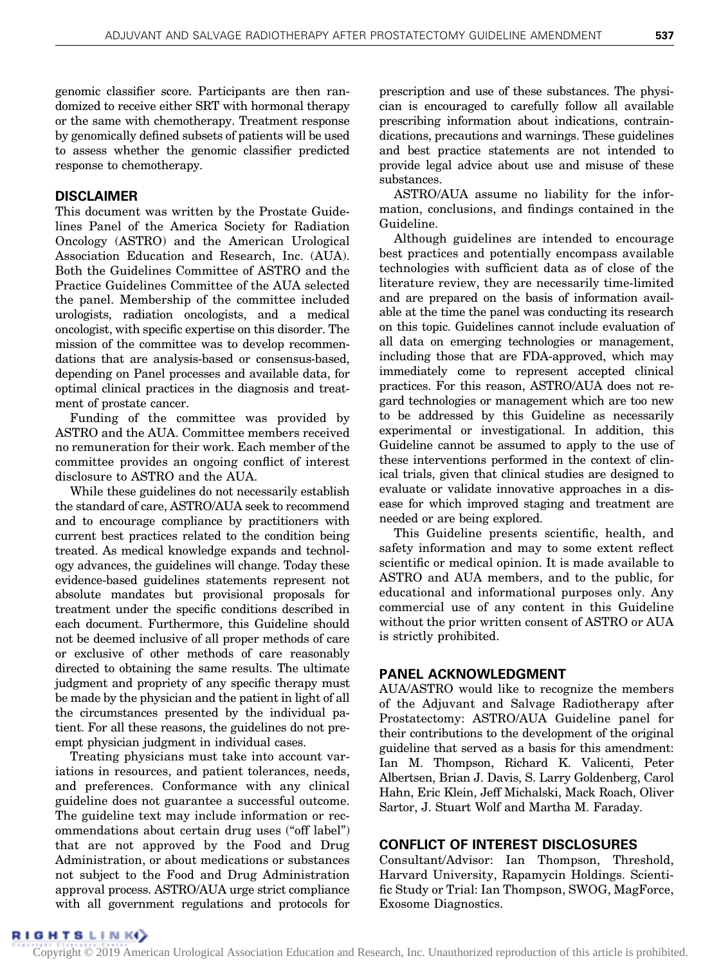genomic classifier score. Participants are then randomized to receive either SRT with hormonal therapy or the same with chemotherapy. Treatment response by genomically defined subsets of patients will be used to assess whether the genomic classifier predicted response to chemotherapy.

#### DISCLAIMER

This document was written by the Prostate Guidelines Panel of the America Society for Radiation Oncology (ASTRO) and the American Urological Association Education and Research, Inc. (AUA). Both the Guidelines Committee of ASTRO and the Practice Guidelines Committee of the AUA selected the panel. Membership of the committee included urologists, radiation oncologists, and a medical oncologist, with specific expertise on this disorder. The mission of the committee was to develop recommendations that are analysis-based or consensus-based, depending on Panel processes and available data, for optimal clinical practices in the diagnosis and treatment of prostate cancer.

Funding of the committee was provided by ASTRO and the AUA. Committee members received no remuneration for their work. Each member of the committee provides an ongoing conflict of interest disclosure to ASTRO and the AUA.

While these guidelines do not necessarily establish the standard of care, ASTRO/AUA seek to recommend and to encourage compliance by practitioners with current best practices related to the condition being treated. As medical knowledge expands and technology advances, the guidelines will change. Today these evidence-based guidelines statements represent not absolute mandates but provisional proposals for treatment under the specific conditions described in each document. Furthermore, this Guideline should not be deemed inclusive of all proper methods of care or exclusive of other methods of care reasonably directed to obtaining the same results. The ultimate judgment and propriety of any specific therapy must be made by the physician and the patient in light of all the circumstances presented by the individual patient. For all these reasons, the guidelines do not preempt physician judgment in individual cases.

Treating physicians must take into account variations in resources, and patient tolerances, needs, and preferences. Conformance with any clinical guideline does not guarantee a successful outcome. The guideline text may include information or recommendations about certain drug uses ("off label") that are not approved by the Food and Drug Administration, or about medications or substances not subject to the Food and Drug Administration approval process. ASTRO/AUA urge strict compliance with all government regulations and protocols for prescription and use of these substances. The physician is encouraged to carefully follow all available prescribing information about indications, contraindications, precautions and warnings. These guidelines and best practice statements are not intended to provide legal advice about use and misuse of these substances.

ASTRO/AUA assume no liability for the information, conclusions, and findings contained in the Guideline.

Although guidelines are intended to encourage best practices and potentially encompass available technologies with sufficient data as of close of the literature review, they are necessarily time-limited and are prepared on the basis of information available at the time the panel was conducting its research on this topic. Guidelines cannot include evaluation of all data on emerging technologies or management, including those that are FDA-approved, which may immediately come to represent accepted clinical practices. For this reason, ASTRO/AUA does not regard technologies or management which are too new to be addressed by this Guideline as necessarily experimental or investigational. In addition, this Guideline cannot be assumed to apply to the use of these interventions performed in the context of clinical trials, given that clinical studies are designed to evaluate or validate innovative approaches in a disease for which improved staging and treatment are needed or are being explored.

This Guideline presents scientific, health, and safety information and may to some extent reflect scientific or medical opinion. It is made available to ASTRO and AUA members, and to the public, for educational and informational purposes only. Any commercial use of any content in this Guideline without the prior written consent of ASTRO or AUA is strictly prohibited.

## PANEL ACKNOWLEDGMENT

AUA/ASTRO would like to recognize the members of the Adjuvant and Salvage Radiotherapy after Prostatectomy: ASTRO/AUA Guideline panel for their contributions to the development of the original guideline that served as a basis for this amendment: Ian M. Thompson, Richard K. Valicenti, Peter Albertsen, Brian J. Davis, S. Larry Goldenberg, Carol Hahn, Eric Klein, Jeff Michalski, Mack Roach, Oliver Sartor, J. Stuart Wolf and Martha M. Faraday.

#### CONFLICT OF INTEREST DISCLOSURES

Consultant/Advisor: Ian Thompson, Threshold, Harvard University, Rapamycin Holdings. Scientific Study or Trial: Ian Thompson, SWOG, MagForce, Exosome Diagnostics.

RIGHTSLINKY